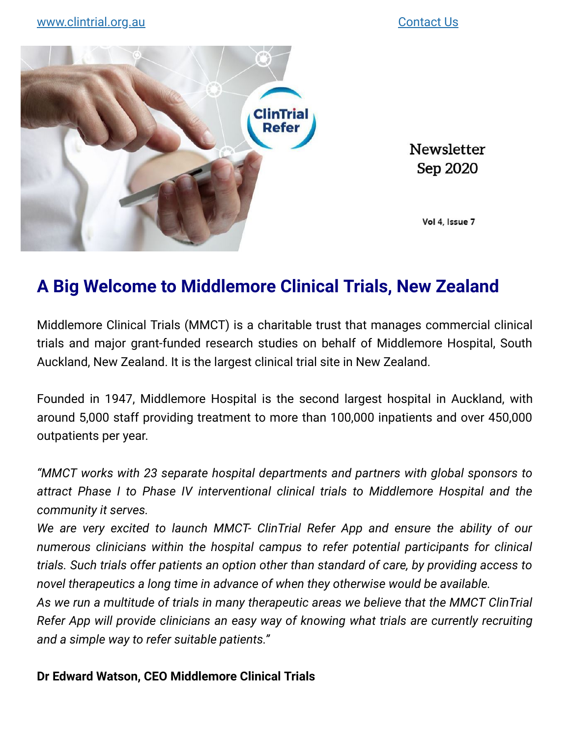

Newsletter Sep 2020

Vol 4, Issue 7

# **A Big Welcome to Middlemore Clinical Trials, New Zealand**

Middlemore Clinical Trials (MMCT) is a charitable trust that manages commercial clinical trials and major grant-funded research studies on behalf of Middlemore Hospital, South Auckland, New Zealand. It is the largest clinical trial site in New Zealand.

Founded in 1947, Middlemore Hospital is the second largest hospital in Auckland, with around 5,000 staff providing treatment to more than 100,000 inpatients and over 450,000 outpatients per year.

*"MMCT works with 23 separate hospital departments and partners with global sponsors to attract Phase I to Phase IV interventional clinical trials to Middlemore Hospital and the community it serves.*

*We are very excited to launch MMCT- ClinTrial Refer App and ensure the ability of our numerous clinicians within the hospital campus to refer potential participants for clinical trials. Such trials offer patients an option other than standard of care, by providing access to novel therapeutics a long time in advance of when they otherwise would be available.* 

*As we run a multitude of trials in many therapeutic areas we believe that the MMCT ClinTrial Refer App will provide clinicians an easy way of knowing what trials are currently recruiting and a simple way to refer suitable patients."* 

#### **Dr Edward Watson, CEO Middlemore Clinical Trials**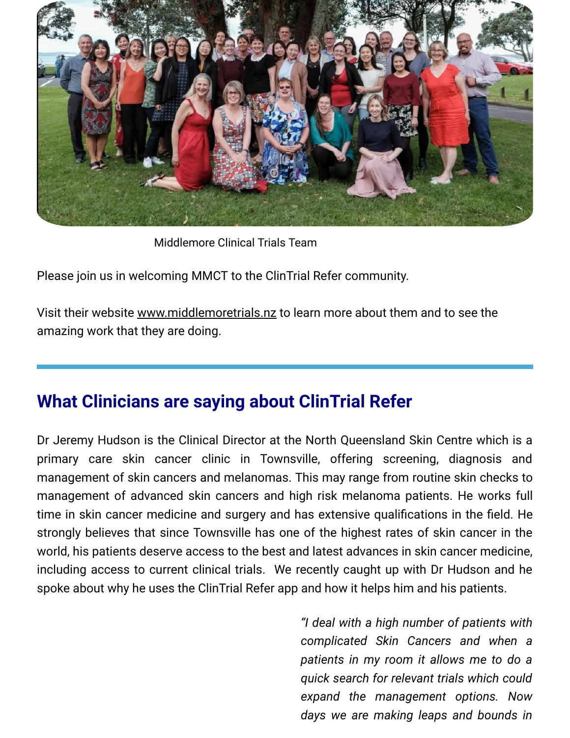

Middlemore Clinical Trials Team

Please join us in welcoming MMCT to the ClinTrial Refer community.

Visit their website [www.middlemoretrials.nz](http://www.middlemoretrials.nz/) to learn more about them and to see the amazing work that they are doing.

# **What Clinicians are saying about ClinTrial Refer**

Dr Jeremy Hudson is the Clinical Director at the North Queensland Skin Centre which is a primary care skin cancer clinic in Townsville, offering screening, diagnosis and management of skin cancers and melanomas. This may range from routine skin checks to management of advanced skin cancers and high risk melanoma patients. He works full time in skin cancer medicine and surgery and has extensive qualifications in the field. He strongly believes that since Townsville has one of the highest rates of skin cancer in the world, his patients deserve access to the best and latest advances in skin cancer medicine, including access to current clinical trials. We recently caught up with Dr Hudson and he spoke about why he uses the ClinTrial Refer app and how it helps him and his patients.

> *"I deal with a high number of patients with complicated Skin Cancers and when a patients in my room it allows me to do a quick search for relevant trials which could expand the management options. Now days we are making leaps and bounds in*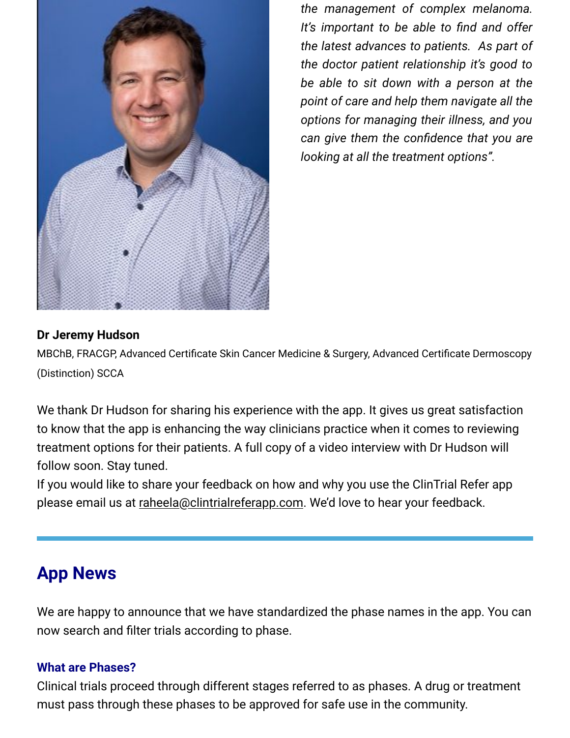

*the management of complex melanoma.* It's important to be able to find and offer *the latest advances to patients. As part of the doctor patient relationship it's good to be able to sit down with a person at the point of care and help them navigate all the options for managing their illness, and you* can give them the confidence that you are *looking at all the treatment options".*

### **Dr Jeremy Hudson**

MBChB, FRACGP, Advanced Certificate Skin Cancer Medicine & Surgery, Advanced Certificate Dermoscopy (Distinction) SCCA

We thank Dr Hudson for sharing his experience with the app. It gives us great satisfaction to know that the app is enhancing the way clinicians practice when it comes to reviewing treatment options for their patients. A full copy of a video interview with Dr Hudson will follow soon. Stay tuned.

If you would like to share your feedback on how and why you use the ClinTrial Refer app please email us at [raheela@clintrialreferapp.com.](mailto:raheela@clintrialreferapp.com?subject=My%20ClinTrialRefer%20story) We'd love to hear your feedback.

## **App News**

We are happy to announce that we have standardized the phase names in the app. You can now search and filter trials according to phase.

#### **What are Phases?**

Clinical trials proceed through different stages referred to as phases. A drug or treatment must pass through these phases to be approved for safe use in the community.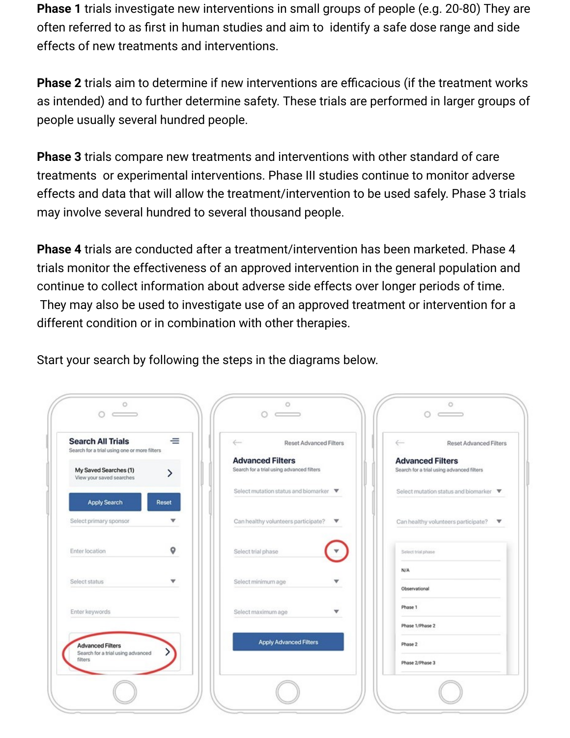**Phase 1** trials investigate new interventions in small groups of people (e.g. 20-80) They are often referred to as first in human studies and aim to identify a safe dose range and side effects of new treatments and interventions.

**Phase 2** trials aim to determine if new interventions are efficacious (if the treatment works as intended) and to further determine safety. These trials are performed in larger groups of people usually several hundred people.

**Phase 3** trials compare new treatments and interventions with other standard of care treatments or experimental interventions. Phase III studies continue to monitor adverse effects and data that will allow the treatment/intervention to be used safely. Phase 3 trials may involve several hundred to several thousand people.

**Phase 4** trials are conducted after a treatment/intervention has been marketed. Phase 4 trials monitor the effectiveness of an approved intervention in the general population and continue to collect information about adverse side effects over longer periods of time. They may also be used to investigate use of an approved treatment or intervention for a different condition or in combination with other therapies.

Start your search by following the steps in the diagrams below.

| <b>Search All Trials</b><br>Search for a trial using one or more filters | ᆖ     | $\leftarrow$<br>Reset Advanced Filters                               | $\leftarrow$<br><b>Reset Advanced Filters</b>                        |
|--------------------------------------------------------------------------|-------|----------------------------------------------------------------------|----------------------------------------------------------------------|
| My Saved Searches (1)<br>View your saved searches                        |       | <b>Advanced Filters</b><br>Search for a trial using advanced filters | <b>Advanced Filters</b><br>Search for a trial using advanced filters |
| Apply Search                                                             | Reset | Select mutation status and biomarker ▼                               | Select mutation status and biomarker ▼                               |
| Select primary sponsor                                                   | v     | Can healthy volunteers participate?<br>$\overline{\mathbf{v}}$       | Can healthy volunteers participate? $\blacktriangledown$             |
| Enter location                                                           | 9     | Select trial phase                                                   | Select trial phase                                                   |
| Select status                                                            | v     | Select minimum age<br>w                                              | N/A<br>Observational                                                 |
| Enter keywords                                                           |       | Select maximum age<br>v                                              | Phase 1                                                              |
| <b>Advanced Filters</b><br>Search for a trial using advanced             |       | <b>Apply Advanced Filters</b>                                        | Phase 1/Phase 2<br>Phase 2                                           |
| filters                                                                  |       |                                                                      | Phase 2/Phase 3                                                      |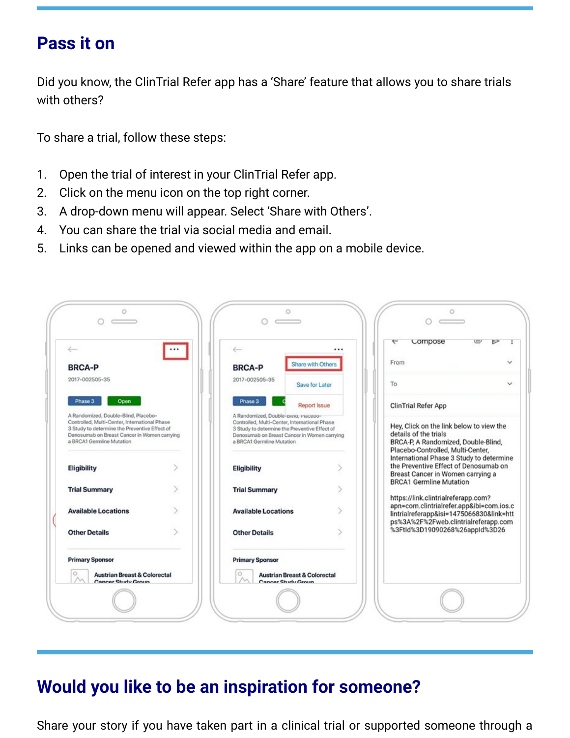### **Pass it on**

Did you know, the ClinTrial Refer app has a 'Share' feature that allows you to share trials with others?

To share a trial, follow these steps:

- 1. Open the trial of interest in your ClinTrial Refer app.
- 2. Click on the menu icon on the top right corner.
- 3. A drop-down menu will appear. Select 'Share with Others'.
- 4. You can share the trial via social media and email.
- 5. Links can be opened and viewed within the app on a mobile device.

| $\leftarrow$                                                                                                                                                                                                        | $\cdots$ | $\leftarrow$               | .                                                                                                                                                                                      | compose<br>↽                                                                                                                                             | ⋐<br>⊵                                                                                                                                        |  |
|---------------------------------------------------------------------------------------------------------------------------------------------------------------------------------------------------------------------|----------|----------------------------|----------------------------------------------------------------------------------------------------------------------------------------------------------------------------------------|----------------------------------------------------------------------------------------------------------------------------------------------------------|-----------------------------------------------------------------------------------------------------------------------------------------------|--|
| <b>BRCA-P</b>                                                                                                                                                                                                       |          | <b>BRCA-P</b>              | Share with Others                                                                                                                                                                      | From                                                                                                                                                     |                                                                                                                                               |  |
| 2017-002505-35                                                                                                                                                                                                      |          | 2017-002505-35             | Save for Later                                                                                                                                                                         | To                                                                                                                                                       |                                                                                                                                               |  |
| Phase 3<br>Open                                                                                                                                                                                                     |          | Phase 3                    | <b>Report Issue</b>                                                                                                                                                                    | <b>ClinTrial Refer App</b>                                                                                                                               |                                                                                                                                               |  |
| A Randomized, Double-Blind, Placebo-<br>Controlled, Multi-Center, International Phase<br>3 Study to determine the Preventive Effect of<br>Denosumab on Breast Cancer in Women carrying<br>a BRCA1 Germline Mutation |          | a BRCA1 Germline Mutation  | A Randomized, Double-Bring, Pracepo-<br>Controlled, Multi-Center, International Phase<br>3 Study to determine the Preventive Effect of<br>Denosumab on Breast Cancer in Women carrying |                                                                                                                                                          | Hey, Click on the link below to view the<br>details of the trials<br>BRCA-P, A Randomized, Double-Blind,<br>Placebo-Controlled, Multi-Center, |  |
| Eligibility                                                                                                                                                                                                         |          | Eligibility                |                                                                                                                                                                                        | International Phase 3 Study to determine<br>the Preventive Effect of Denosumab on<br>Breast Cancer in Women carrying a<br><b>BRCA1 Germline Mutation</b> |                                                                                                                                               |  |
| <b>Trial Summary</b>                                                                                                                                                                                                |          | <b>Trial Summary</b>       |                                                                                                                                                                                        | https://link.clintrialreferapp.com?                                                                                                                      |                                                                                                                                               |  |
| <b>Available Locations</b>                                                                                                                                                                                          |          | <b>Available Locations</b> |                                                                                                                                                                                        | apn=com.clintrialrefer.app&ibi=com.ios.c<br>lintrialreferapp&isi=1475066830&link=htt<br>ps%3A%2F%2Fweb.clintrialreferapp.com                             |                                                                                                                                               |  |
| <b>Other Details</b>                                                                                                                                                                                                |          | <b>Other Details</b>       |                                                                                                                                                                                        | %3FtId%3D19090268%26appId%3D26                                                                                                                           |                                                                                                                                               |  |
| <b>Primary Sponsor</b>                                                                                                                                                                                              |          | <b>Primary Sponsor</b>     |                                                                                                                                                                                        |                                                                                                                                                          |                                                                                                                                               |  |
| $\circ$<br><b>Austrian Breast &amp; Colorectal</b><br>Cancer Study Group                                                                                                                                            |          | O<br>Concer Study Group    | <b>Austrian Breast &amp; Colorectal</b>                                                                                                                                                |                                                                                                                                                          |                                                                                                                                               |  |

# **Would you like to be an inspiration for someone?**

Share your story if you have taken part in a clinical trial or supported someone through a